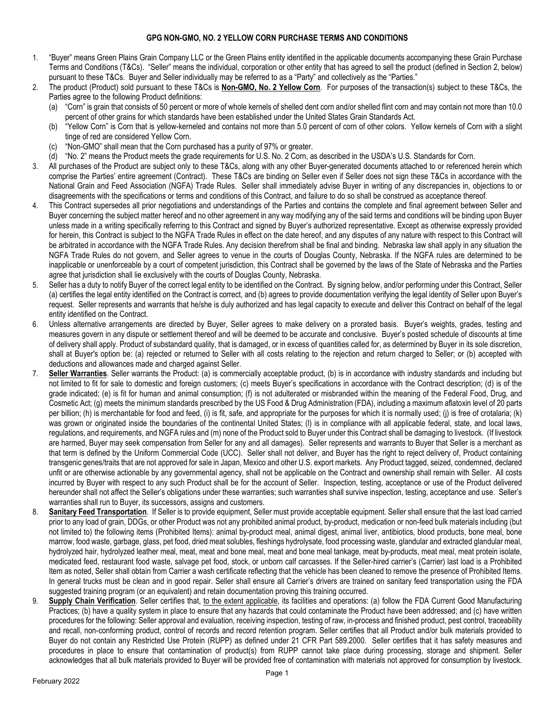## **GPG NON-GMO, NO. 2 YELLOW CORN PURCHASE TERMS AND CONDITIONS**

- 1. "Buyer" means Green Plains Grain Company LLC or the Green Plains entity identified in the applicable documents accompanying these Grain Purchase Terms and Conditions (T&Cs). "Seller" means the individual, corporation or other entity that has agreed to sell the product (defined in Section 2, below) pursuant to these T&Cs. Buyer and Seller individually may be referred to as a "Party" and collectively as the "Parties."
- 2. The product (Product) sold pursuant to these T&Cs is **Non-GMO, No. 2 Yellow Corn**. For purposes of the transaction(s) subject to these T&Cs, the Parties agree to the following Product definitions:
	- (a) "Corn" is grain that consists of 50 percent or more of whole kernels of shelled dent corn and/or shelled flint corn and may contain not more than 10.0 percent of other grains for which standards have been established under the United States Grain Standards Act.
	- (b) "Yellow Corn" is Corn that is yellow-kerneled and contains not more than 5.0 percent of corn of other colors. Yellow kernels of Corn with a slight tinge of red are considered Yellow Corn.
	- (c) "Non-GMO" shall mean that the Corn purchased has a purity of 97% or greater.
	- (d) "No. 2" means the Product meets the grade requirements for U.S. No. 2 Corn, as described in the USDA's U.S. Standards for Corn.
- 3. All purchases of the Product are subject only to these T&Cs, along with any other Buyer-generated documents attached to or referenced herein which comprise the Parties' entire agreement (Contract). These T&Cs are binding on Seller even if Seller does not sign these T&Cs in accordance with the National Grain and Feed Association (NGFA) Trade Rules. Seller shall immediately advise Buyer in writing of any discrepancies in, objections to or disagreements with the specifications or terms and conditions of this Contract, and failure to do so shall be construed as acceptance thereof.
- 4. This Contract supersedes all prior negotiations and understandings of the Parties and contains the complete and final agreement between Seller and Buyer concerning the subject matter hereof and no other agreement in any way modifying any of the said terms and conditions will be binding upon Buyer unless made in a writing specifically referring to this Contract and signed by Buyer's authorized representative. Except as otherwise expressly provided for herein, this Contract is subject to the NGFA Trade Rules in effect on the date hereof, and any disputes of any nature with respect to this Contract will be arbitrated in accordance with the NGFA Trade Rules. Any decision therefrom shall be final and binding. Nebraska law shall apply in any situation the NGFA Trade Rules do not govern, and Seller agrees to venue in the courts of Douglas County, Nebraska. If the NGFA rules are determined to be inapplicable or unenforceable by a court of competent jurisdiction, this Contract shall be governed by the laws of the State of Nebraska and the Parties agree that jurisdiction shall lie exclusively with the courts of Douglas County, Nebraska.
- 5. Seller has a duty to notify Buyer of the correct legal entity to be identified on the Contract. By signing below, and/or performing under this Contract, Seller (a) certifies the legal entity identified on the Contract is correct, and (b) agrees to provide documentation verifying the legal identity of Seller upon Buyer's request. Seller represents and warrants that he/she is duly authorized and has legal capacity to execute and deliver this Contract on behalf of the legal entity identified on the Contract.
- 6. Unless alternative arrangements are directed by Buyer, Seller agrees to make delivery on a prorated basis. Buyer's weights, grades, testing and measures govern in any dispute or settlement thereof and will be deemed to be accurate and conclusive. Buyer's posted schedule of discounts at time of delivery shall apply. Product of substandard quality, that is damaged, or in excess of quantities called for, as determined by Buyer in its sole discretion, shall at Buyer's option be: (a) rejected or returned to Seller with all costs relating to the rejection and return charged to Seller; or (b) accepted with deductions and allowances made and charged against Seller.
- 7. **Seller Warranties**. Seller warrants the Product: (a) is commercially acceptable product, (b) is in accordance with industry standards and including but not limited to fit for sale to domestic and foreign customers; (c) meets Buyer's specifications in accordance with the Contract description; (d) is of the grade indicated; (e) is fit for human and animal consumption; (f) is not adulterated or misbranded within the meaning of the Federal Food, Drug, and Cosmetic Act; (g) meets the minimum standards prescribed by the US Food & Drug Administration (FDA), including a maximum aflatoxin level of 20 parts per billion; (h) is merchantable for food and feed, (i) is fit, safe, and appropriate for the purposes for which it is normally used; (j) is free of crotalaria; (k) was grown or originated inside the boundaries of the continental United States; (l) is in compliance with all applicable federal, state, and local laws, regulations, and requirements, and NGFA rules and (m) none of the Product sold to Buyer under this Contract shall be damaging to livestock. (If livestock are harmed, Buyer may seek compensation from Seller for any and all damages). Seller represents and warrants to Buyer that Seller is a merchant as that term is defined by the Uniform Commercial Code (UCC). Seller shall not deliver, and Buyer has the right to reject delivery of, Product containing transgenic genes/traits that are not approved for sale in Japan, Mexico and other U.S. export markets. Any Product tagged, seized, condemned, declared unfit or are otherwise actionable by any governmental agency, shall not be applicable on the Contract and ownership shall remain with Seller. All costs incurred by Buyer with respect to any such Product shall be for the account of Seller. Inspection, testing, acceptance or use of the Product delivered hereunder shall not affect the Seller's obligations under these warranties; such warranties shall survive inspection, testing, acceptance and use. Seller's warranties shall run to Buyer, its successors, assigns and customers.
- 8. **Sanitary Feed Transportation**. If Seller is to provide equipment, Seller must provide acceptable equipment. Seller shall ensure that the last load carried prior to any load of grain, DDGs, or other Product was not any prohibited animal product, by-product, medication or non-feed bulk materials including (but not limited to) the following items (Prohibited Items): animal by-product meal, animal digest, animal liver, antibiotics, blood products, bone meal, bone marrow, food waste, garbage, glass, pet food, dried meat solubles, fleshings hydrolysate, food processing waste, glandular and extracted glandular meal, hydrolyzed hair, hydrolyzed leather meal, meat, meat and bone meal, meat and bone meal tankage, meat by-products, meat meal, meat protein isolate, medicated feed, restaurant food waste, salvage pet food, stock, or unborn calf carcasses. If the Seller-hired carrier's (Carrier) last load is a Prohibited Item as noted, Seller shall obtain from Carrier a wash certificate reflecting that the vehicle has been cleaned to remove the presence of Prohibited Items. In general trucks must be clean and in good repair. Seller shall ensure all Carrier's drivers are trained on sanitary feed transportation using the FDA suggested training program (or an equivalent) and retain documentation proving this training occurred.
- 9. **Supply Chain Verification**. Seller certifies that, to the extent applicable, its facilities and operations: (a) follow the FDA Current Good Manufacturing Practices; (b) have a quality system in place to ensure that any hazards that could contaminate the Product have been addressed; and (c) have written procedures for the following: Seller approval and evaluation, receiving inspection, testing of raw, in-process and finished product, pest control, traceability and recall, non-conforming product, control of records and record retention program. Seller certifies that all Product and/or bulk materials provided to Buyer do not contain any Restricted Use Protein (RUPP) as defined under 21 CFR Part 589.2000. Seller certifies that it has safety measures and procedures in place to ensure that contamination of product(s) from RUPP cannot take place during processing, storage and shipment. Seller acknowledges that all bulk materials provided to Buyer will be provided free of contamination with materials not approved for consumption by livestock.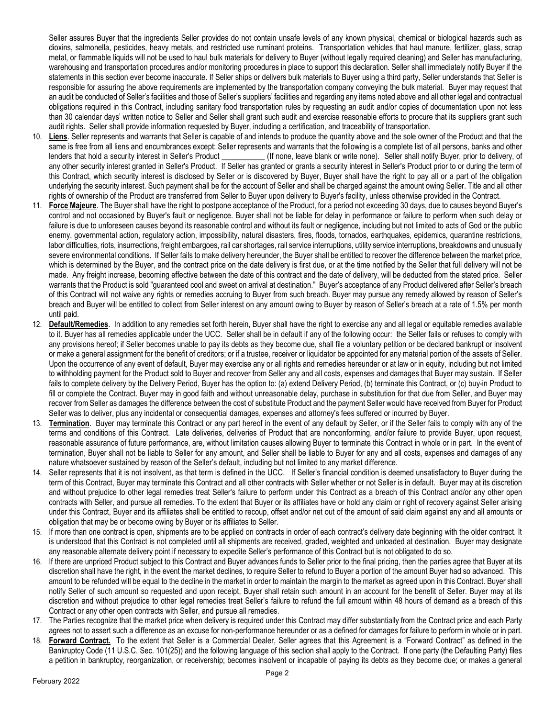Seller assures Buyer that the ingredients Seller provides do not contain unsafe levels of any known physical, chemical or biological hazards such as dioxins, salmonella, pesticides, heavy metals, and restricted use ruminant proteins. Transportation vehicles that haul manure, fertilizer, glass, scrap metal, or flammable liquids will not be used to haul bulk materials for delivery to Buyer (without legally required cleaning) and Seller has manufacturing, warehousing and transportation procedures and/or monitoring procedures in place to support this declaration. Seller shall immediately notify Buyer if the statements in this section ever become inaccurate. If Seller ships or delivers bulk materials to Buyer using a third party, Seller understands that Seller is responsible for assuring the above requirements are implemented by the transportation company conveying the bulk material. Buyer may request that an audit be conducted of Seller's facilities and those of Seller's suppliers' facilities and regarding any items noted above and all other legal and contractual obligations required in this Contract, including sanitary food transportation rules by requesting an audit and/or copies of documentation upon not less than 30 calendar days' written notice to Seller and Seller shall grant such audit and exercise reasonable efforts to procure that its suppliers grant such audit rights. Seller shall provide information requested by Buyer, including a certification, and traceability of transportation.

- 10. **Liens**. Seller represents and warrants that Seller is capable of and intends to produce the quantity above and the sole owner of the Product and that the same is free from all liens and encumbrances except: Seller represents and warrants that the following is a complete list of all persons, banks and other lenders that hold a security interest in Seller's Product (If none, leave blank or write none). Seller shall notify Buyer, prior to delivery, of any other security interest granted in Seller's Product. If Seller has granted or grants a security interest in Seller's Product prior to or during the term of this Contract, which security interest is disclosed by Seller or is discovered by Buyer, Buyer shall have the right to pay all or a part of the obligation underlying the security interest. Such payment shall be for the account of Seller and shall be charged against the amount owing Seller. Title and all other rights of ownership of the Product are transferred from Seller to Buyer upon delivery to Buyer's facility, unless otherwise provided in the Contract.
- 11. **Force Majeure**. The Buyer shall have the right to postpone acceptance of the Product, for a period not exceeding 30 days, due to causes beyond Buyer's control and not occasioned by Buyer's fault or negligence. Buyer shall not be liable for delay in performance or failure to perform when such delay or failure is due to unforeseen causes beyond its reasonable control and without its fault or negligence, including but not limited to acts of God or the public enemy, governmental action, regulatory action, impossibility, natural disasters, fires, floods, tornados, earthquakes, epidemics, quarantine restrictions, labor difficulties, riots, insurrections, freight embargoes, rail car shortages, rail service interruptions, utility service interruptions, breakdowns and unusually severe environmental conditions. If Seller fails to make delivery hereunder, the Buyer shall be entitled to recover the difference between the market price, which is determined by the Buyer, and the contract price on the date delivery is first due, or at the time notified by the Seller that full delivery will not be made. Any freight increase, becoming effective between the date of this contract and the date of delivery, will be deducted from the stated price. Seller warrants that the Product is sold "guaranteed cool and sweet on arrival at destination." Buyer's acceptance of any Product delivered after Seller's breach of this Contract will not waive any rights or remedies accruing to Buyer from such breach. Buyer may pursue any remedy allowed by reason of Seller's breach and Buyer will be entitled to collect from Seller interest on any amount owing to Buyer by reason of Seller's breach at a rate of 1.5% per month until paid.
- 12. **Default/Remedies**. In addition to any remedies set forth herein, Buyer shall have the right to exercise any and all legal or equitable remedies available to it. Buyer has all remedies applicable under the UCC. Seller shall be in default if any of the following occur: the Seller fails or refuses to comply with any provisions hereof; if Seller becomes unable to pay its debts as they become due, shall file a voluntary petition or be declared bankrupt or insolvent or make a general assignment for the benefit of creditors; or if a trustee, receiver or liquidator be appointed for any material portion of the assets of Seller. Upon the occurrence of any event of default, Buyer may exercise any or all rights and remedies hereunder or at law or in equity, including but not limited to withholding payment for the Product sold to Buyer and recover from Seller any and all costs, expenses and damages that Buyer may sustain. If Seller fails to complete delivery by the Delivery Period, Buyer has the option to: (a) extend Delivery Period, (b) terminate this Contract, or (c) buy-in Product to fill or complete the Contract. Buyer may in good faith and without unreasonable delay, purchase in substitution for that due from Seller, and Buyer may recover from Seller as damages the difference between the cost of substitute Product and the payment Seller would have received from Buyer for Product Seller was to deliver, plus any incidental or consequential damages, expenses and attorney's fees suffered or incurred by Buyer.
- 13. **Termination**. Buyer may terminate this Contract or any part hereof in the event of any default by Seller, or if the Seller fails to comply with any of the terms and conditions of this Contract. Late deliveries, deliveries of Product that are nonconforming, and/or failure to provide Buyer, upon request, reasonable assurance of future performance, are, without limitation causes allowing Buyer to terminate this Contract in whole or in part. In the event of termination, Buyer shall not be liable to Seller for any amount, and Seller shall be liable to Buyer for any and all costs, expenses and damages of any nature whatsoever sustained by reason of the Seller's default, including but not limited to any market difference.
- 14. Seller represents that it is not insolvent, as that term is defined in the UCC. If Seller's financial condition is deemed unsatisfactory to Buyer during the term of this Contract, Buyer may terminate this Contract and all other contracts with Seller whether or not Seller is in default. Buyer may at its discretion and without prejudice to other legal remedies treat Seller's failure to perform under this Contract as a breach of this Contract and/or any other open contracts with Seller, and pursue all remedies. To the extent that Buyer or its affiliates have or hold any claim or right of recovery against Seller arising under this Contract, Buyer and its affiliates shall be entitled to recoup, offset and/or net out of the amount of said claim against any and all amounts or obligation that may be or become owing by Buyer or its affiliates to Seller.
- 15. If more than one contract is open, shipments are to be applied on contracts in order of each contract's delivery date beginning with the older contract. It is understood that this Contract is not completed until all shipments are received, graded, weighted and unloaded at destination. Buyer may designate any reasonable alternate delivery point if necessary to expedite Seller's performance of this Contract but is not obligated to do so.
- 16. If there are unpriced Product subject to this Contract and Buyer advances funds to Seller prior to the final pricing, then the parties agree that Buyer at its discretion shall have the right, in the event the market declines, to require Seller to refund to Buyer a portion of the amount Buyer had so advanced. This amount to be refunded will be equal to the decline in the market in order to maintain the margin to the market as agreed upon in this Contract. Buyer shall notify Seller of such amount so requested and upon receipt, Buyer shall retain such amount in an account for the benefit of Seller. Buyer may at its discretion and without prejudice to other legal remedies treat Seller's failure to refund the full amount within 48 hours of demand as a breach of this Contract or any other open contracts with Seller, and pursue all remedies.
- 17. The Parties recognize that the market price when delivery is required under this Contract may differ substantially from the Contract price and each Party agrees not to assert such a difference as an excuse for non-performance hereunder or as a defined for damages for failure to perform in whole or in part.
- 18. **Forward Contract.** To the extent that Seller is a Commercial Dealer, Seller agrees that this Agreement is a "Forward Contract" as defined in the Bankruptcy Code (11 U.S.C. Sec. 101(25)) and the following language of this section shall apply to the Contract. If one party (the Defaulting Party) files a petition in bankruptcy, reorganization, or receivership; becomes insolvent or incapable of paying its debts as they become due; or makes a general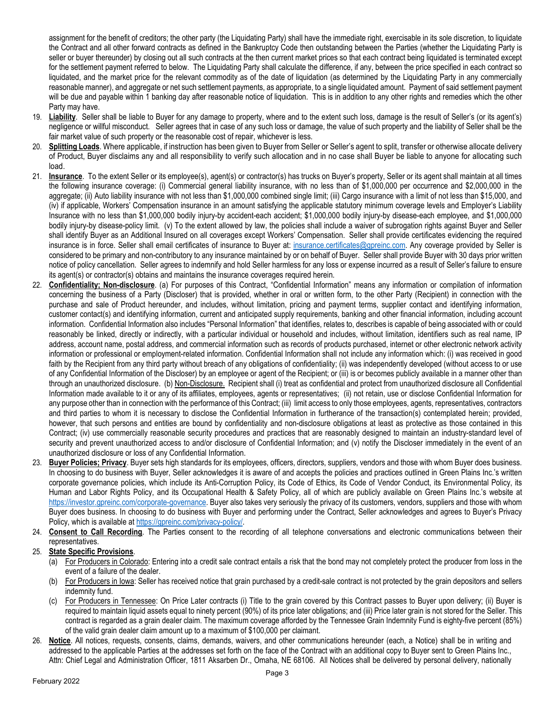assignment for the benefit of creditors; the other party (the Liquidating Party) shall have the immediate right, exercisable in its sole discretion, to liquidate the Contract and all other forward contracts as defined in the Bankruptcy Code then outstanding between the Parties (whether the Liquidating Party is seller or buyer thereunder) by closing out all such contracts at the then current market prices so that each contract being liquidated is terminated except for the settlement payment referred to below. The Liquidating Party shall calculate the difference, if any, between the price specified in each contract so liquidated, and the market price for the relevant commodity as of the date of liquidation (as determined by the Liquidating Party in any commercially reasonable manner), and aggregate or net such settlement payments, as appropriate, to a single liquidated amount. Payment of said settlement payment will be due and payable within 1 banking day after reasonable notice of liquidation. This is in addition to any other rights and remedies which the other Party may have.

- 19. **Liability**. Seller shall be liable to Buyer for any damage to property, where and to the extent such loss, damage is the result of Seller's (or its agent's) negligence or willful misconduct. Seller agrees that in case of any such loss or damage, the value of such property and the liability of Seller shall be the fair market value of such property or the reasonable cost of repair, whichever is less.
- 20. Splitting Loads. Where applicable, if instruction has been given to Buyer from Seller or Seller's agent to split, transfer or otherwise allocate delivery of Product, Buyer disclaims any and all responsibility to verify such allocation and in no case shall Buyer be liable to anyone for allocating such load.
- 21. **Insurance**. To the extent Seller or its employee(s), agent(s) or contractor(s) has trucks on Buyer's property, Seller or its agent shall maintain at all times the following insurance coverage: (i) Commercial general liability insurance, with no less than of \$1,000,000 per occurrence and \$2,000,000 in the aggregate; (ii) Auto liability insurance with not less than \$1,000,000 combined single limit; (iii) Cargo insurance with a limit of not less than \$15,000, and (iv) if applicable, Workers' Compensation insurance in an amount satisfying the applicable statutory minimum coverage levels and Employer's Liability Insurance with no less than \$1,000,000 bodily injury-by accident-each accident; \$1,000,000 bodily injury-by disease-each employee, and \$1,000,000 bodily injury-by disease-policy limit. (v) To the extent allowed by law, the policies shall include a waiver of subrogation rights against Buyer and Seller shall identify Buyer as an Additional Insured on all coverages except Workers' Compensation. Seller shall provide certificates evidencing the required insurance is in force. Seller shall email certificates of insurance to Buyer at: [insurance.certificates@gpreinc.com.](mailto:insurance.certificates@gpreinc.com) Any coverage provided by Seller is considered to be primary and non-contributory to any insurance maintained by or on behalf of Buyer. Seller shall provide Buyer with 30 days prior written notice of policy cancellation. Seller agrees to indemnify and hold Seller harmless for any loss or expense incurred as a result of Seller's failure to ensure its agent(s) or contractor(s) obtains and maintains the insurance coverages required herein.
- 22. **Confidentiality; Non-disclosure**. (a) For purposes of this Contract, "Confidential Information" means any information or compilation of information concerning the business of a Party (Discloser) that is provided, whether in oral or written form, to the other Party (Recipient) in connection with the purchase and sale of Product hereunder, and includes, without limitation, pricing and payment terms, supplier contact and identifying information, customer contact(s) and identifying information, current and anticipated supply requirements, banking and other financial information, including account information. Confidential Information also includes "Personal Information" that identifies, relates to, describes is capable of being associated with or could reasonably be linked, directly or indirectly, with a particular individual or household and includes, without limitation, identifiers such as real name, IP address, account name, postal address, and commercial information such as records of products purchased, internet or other electronic network activity information or professional or employment-related information. Confidential Information shall not include any information which: (i) was received in good faith by the Recipient from any third party without breach of any obligations of confidentiality; (ii) was independently developed (without access to or use of any Confidential Information of the Discloser) by an employee or agent of the Recipient; or (iii) is or becomes publicly available in a manner other than through an unauthorized disclosure. (b) Non-Disclosure. Recipient shall (i) treat as confidential and protect from unauthorized disclosure all Confidential Information made available to it or any of its affiliates, employees, agents or representatives; (ii) not retain, use or disclose Confidential Information for any purpose other than in connection with the performance of this Contract; (iii) limit access to only those employees, agents, representatives, contractors and third parties to whom it is necessary to disclose the Confidential Information in furtherance of the transaction(s) contemplated herein; provided, however, that such persons and entities are bound by confidentiality and non-disclosure obligations at least as protective as those contained in this Contract; (iv) use commercially reasonable security procedures and practices that are reasonably designed to maintain an industry-standard level of security and prevent unauthorized access to and/or disclosure of Confidential Information; and (v) notify the Discloser immediately in the event of an unauthorized disclosure or loss of any Confidential Information.
- 23. **Buyer Policies; Privacy**. Buyer sets high standards for its employees, officers, directors, suppliers, vendors and those with whom Buyer does business. In choosing to do business with Buyer, Seller acknowledges it is aware of and accepts the policies and practices outlined in Green Plains Inc.'s written corporate governance policies, which include its Anti-Corruption Policy, its Code of Ethics, its Code of Vendor Conduct, its Environmental Policy, its Human and Labor Rights Policy, and its Occupational Health & Safety Policy, all of which are publicly available on Green Plains Inc.'s website at [https://investor.gpreinc.com/corporate-governance.](https://investor.gpreinc.com/corporate-governance) Buyer also takes very seriously the privacy of its customers, vendors, suppliers and those with whom Buyer does business. In choosing to do business with Buyer and performing under the Contract, Seller acknowledges and agrees to Buyer's Privacy Policy, which is available a[t https://gpreinc.com/privacy-policy/.](https://gpreinc.com/privacy-policy/)
- 24. **Consent to Call Recording**. The Parties consent to the recording of all telephone conversations and electronic communications between their representatives.

## 25. **State Specific Provisions**.

- (a) For Producers in Colorado: Entering into a credit sale contract entails a risk that the bond may not completely protect the producer from loss in the event of a failure of the dealer.
- (b) For Producers in Iowa: Seller has received notice that grain purchased by a credit-sale contract is not protected by the grain depositors and sellers indemnity fund.
- (c) For Producers in Tennessee: On Price Later contracts (i) Title to the grain covered by this Contract passes to Buyer upon delivery; (ii) Buyer is required to maintain liquid assets equal to ninety percent (90%) of its price later obligations; and (iii) Price later grain is not stored for the Seller. This contract is regarded as a grain dealer claim. The maximum coverage afforded by the Tennessee Grain Indemnity Fund is eighty-five percent (85%) of the valid grain dealer claim amount up to a maximum of \$100,000 per claimant.
- 26. **Notice**. All notices, requests, consents, claims, demands, waivers, and other communications hereunder (each, a Notice) shall be in writing and addressed to the applicable Parties at the addresses set forth on the face of the Contract with an additional copy to Buyer sent to Green Plains Inc., Attn: Chief Legal and Administration Officer, 1811 Aksarben Dr., Omaha, NE 68106. All Notices shall be delivered by personal delivery, nationally